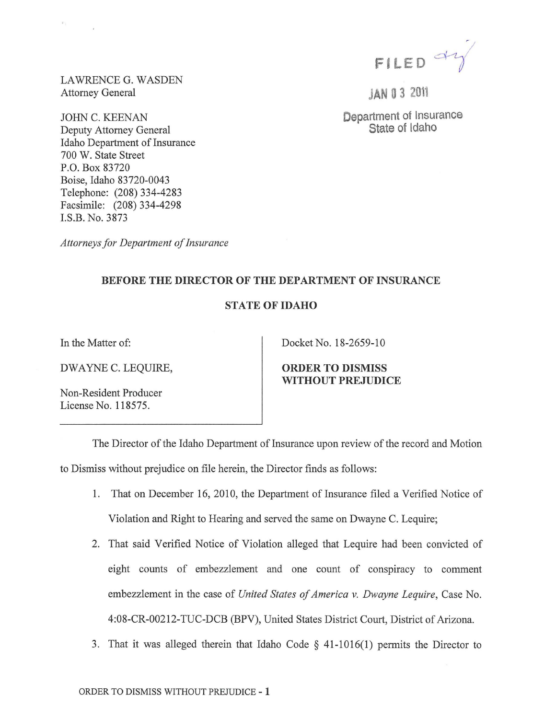

JAN 0 3 <sup>2011</sup>

Department of Insurance State of Idaho

LAWRENCE G. WASDEN Attorney General

JOHN C. KEENAN Deputy Attorney General Idaho Department of Insurance 700 W. State Street P.O. Box 83720 Boise, Idaho 83720-0043 Telephone: (208) 334-4283 Facsimile: (208) 334-4298 I.S.B. No. 3873

*Attorneys for Department of Insurance* 

## BEFORE THE DIRECTOR OF THE DEPARTMENT OF INSURANCE

## STATE OF IDAHO

In the Matter of:

DWAYNE C. LEQUIRE,

Non-Resident Producer License No. 118575.

Docket No. 18-2659-10

ORDER TO DISMISS WITHOUT PREJUDICE

The Director of the Idaho Department of Insurance upon review of the record and Motion to Dismiss without prejudice on file herein, the Director finds as follows:

- 1. That on December 16, 2010, the Department of Insurance filed a Verified Notice of Violation and Right to Hearing and served the same on Dwayne C. Lequire;
- 2. That said Verified Notice of Violation alleged that Lequire had been convicted of eight counts of embezzlement and one count of conspiracy to comment embezzlement in the case of *United States of America v. Dwayne Lequire,* Case No. 4:08-CR-00212-TUC-DCB (BPV), United States District Court, District of Arizona.
- 3. That it was alleged therein that Idaho Code  $\S$  41-1016(1) permits the Director to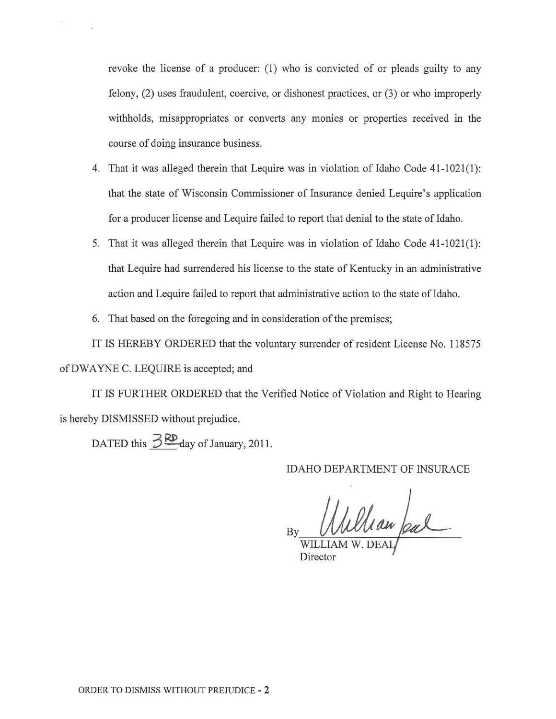revoke the license of a producer: (1) who is convicted of or pleads guilty to any felony, (2) uses fraudulent, coercive, or dishonest practices, or (3) or who improperly withholds, misappropriates or converts any monies or properties received in the course of doing insurance business.

- 4. That it was alleged therein that Lequire was in violation of Idaho Code 41-1021(1): that the state of Wisconsin Commissioner of Insurance denied Lequire's application for a producer license and Lequire failed to report that denial to the state of Idaho.
- 5. That it was alleged therein that Lequire was in violation of Idaho Code 41-1021(1): that Lequire had surrendered his license to the state of Kentucky in an administrative action and Lequire failed to report that administrative action to the state of Idaho.
- 6. That based on the foregoing and in consideration of the premises;

IT IS HEREBY ORDERED that the voluntary surrender of resident License No. 118575 of DWAYNE C. LEQUIRE is accepted; and

IT IS FURTHER ORDERED that the Verified Notice of Violation and Right to Hearing is hereby DISMISSED without prejudice.

DATED this  $\frac{3 \text{RD}}{2}$  day of January, 2011.

IDAHO DEPARTMENT OF INSURACE

William feal

Director